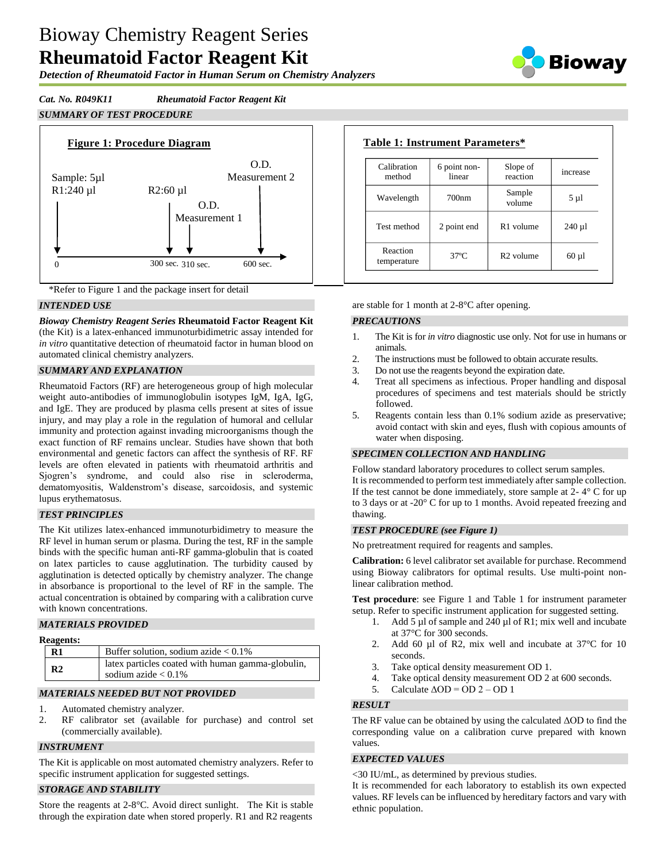# Bioway Chemistry Reagent Series **Rheumatoid Factor Reagent Kit**

*Detection of Rheumatoid Factor in Human Serum on Chemistry Analyzers*



*Cat. No. R049K11 Rheumatoid Factor Reagent Kit*

# *SUMMARY OF TEST PROCEDURE*





## *INTENDED USE*

*Bioway Chemistry Reagent Series* **Rheumatoid Factor Reagent Kit**  (the Kit) is a latex-enhanced immunoturbidimetric assay intended for *in vitro* quantitative detection of rheumatoid factor in human blood on automated clinical chemistry analyzers.

## *SUMMARY AND EXPLANATION*

Rheumatoid Factors (RF) are heterogeneous group of high molecular weight auto-antibodies of immunoglobulin isotypes IgM, IgA, IgG, and IgE. They are produced by plasma cells present at sites of issue injury, and may play a role in the regulation of humoral and cellular immunity and protection against invading microorganisms though the exact function of RF remains unclear. Studies have shown that both environmental and genetic factors can affect the synthesis of RF. RF levels are often elevated in patients with rheumatoid arthritis and Sjogren's syndrome, and could also rise in scleroderma, dematomyositis, Waldenstrom's disease, sarcoidosis, and systemic lupus erythematosus.

## *TEST PRINCIPLES*

The Kit utilizes latex-enhanced immunoturbidimetry to measure the RF level in human serum or plasma. During the test, RF in the sample binds with the specific human anti-RF gamma-globulin that is coated on latex particles to cause agglutination. The turbidity caused by agglutination is detected optically by chemistry analyzer. The change in absorbance is proportional to the level of RF in the sample. The actual concentration is obtained by comparing with a calibration curve with known concentrations.

## *MATERIALS PROVIDED*

## **Reagents:**

| $R1$           | Buffer solution, sodium azide $< 0.1\%$                                     |
|----------------|-----------------------------------------------------------------------------|
| R <sub>2</sub> | latex particles coated with human gamma-globulin,<br>sodium azide $< 0.1\%$ |

## *MATERIALS NEEDED BUT NOT PROVIDED*

- 1. Automated chemistry analyzer.
- 2. RF calibrator set (available for purchase) and control set (commercially available).

## *INSTRUMENT*

The Kit is applicable on most automated chemistry analyzers. Refer to specific instrument application for suggested settings.

# *STORAGE AND STABILITY*

Store the reagents at 2-8°C. Avoid direct sunlight. The Kit is stable through the expiration date when stored properly. R1 and R2 reagents

| Calibration<br>method   | 6 point non-<br>linear | Slope of<br>reaction  | increase   |
|-------------------------|------------------------|-----------------------|------------|
| Wavelength              | 700nm                  | Sample<br>volume      | $5 \mu l$  |
| Test method             | 2 point end            | R <sub>1</sub> volume | $240 \mu$  |
| Reaction<br>temperature | $37^\circ$ C           | R <sub>2</sub> volume | $60 \mu l$ |

are stable for 1 month at 2-8°C after opening.

## *PRECAUTIONS*

- 1. The Kit is for *in vitro* diagnostic use only. Not for use in humans or animals.
- 2. The instructions must be followed to obtain accurate results.
- 3. Do not use the reagents beyond the expiration date.
- 4. Treat all specimens as infectious. Proper handling and disposal procedures of specimens and test materials should be strictly followed.
- 5. Reagents contain less than 0.1% sodium azide as preservative; avoid contact with skin and eyes, flush with copious amounts of water when disposing.

## *SPECIMEN COLLECTION AND HANDLING*

Follow standard laboratory procedures to collect serum samples. It is recommended to perform test immediately after sample collection. If the test cannot be done immediately, store sample at  $2 - 4^\circ$  C for up to 3 days or at -20° C for up to 1 months. Avoid repeated freezing and thawing.

## *TEST PROCEDURE (see Figure 1)*

No pretreatment required for reagents and samples.

**Calibration:** 6 level calibrator set available for purchase. Recommend using Bioway calibrators for optimal results. Use multi-point nonlinear calibration method.

**Test procedure**: see Figure 1 and Table 1 for instrument parameter setup. Refer to specific instrument application for suggested setting.

- 1. Add 5 µl of sample and 240 µl of R1; mix well and incubate at 37°C for 300 seconds.
- 2. Add 60 µl of R2, mix well and incubate at 37 °C for 10 seconds.
- 3. Take optical density measurement OD 1.
- 4. Take optical density measurement OD 2 at 600 seconds.
- 5. Calculate  $\triangle$ OD = OD 2 OD 1

## *RESULT*

The RF value can be obtained by using the calculated  $\Delta$ OD to find the corresponding value on a calibration curve prepared with known values.

## *EXPECTED VALUES*

<30 IU/mL, as determined by previous studies.

It is recommended for each laboratory to establish its own expected values. RF levels can be influenced by hereditary factors and vary with ethnic population.